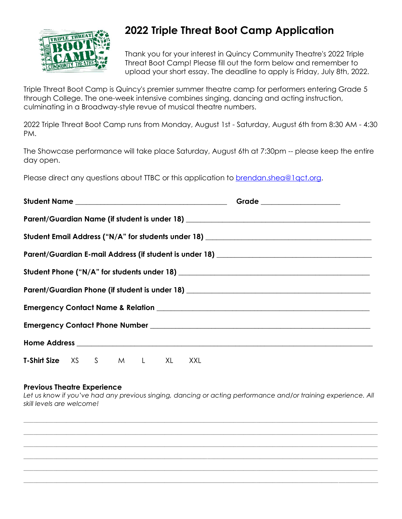

# **2022 Triple Threat Boot Camp Application**

Thank you for your interest in Quincy Community Theatre's 2022 Triple Threat Boot Camp! Please fill out the form below and remember to upload your short essay. The deadline to apply is Friday, July 8th, 2022.

Triple Threat Boot Camp is Quincy's premier summer theatre camp for performers entering Grade 5 through College. The one-week intensive combines singing, dancing and acting instruction, culminating in a Broadway-style revue of musical theatre numbers.

2022 Triple Threat Boot Camp runs from Monday, August 1st - Saturday, August 6th from 8:30 AM - 4:30 PM.

The Showcase performance will take place Saturday, August 6th at 7:30pm -- please keep the entire day open.

Please direct any questions about TTBC or this application to [brendan.shea@1qct.org.](mailto:brendan.shea@1qct.org)

|                                                                                   |  |  |  |  |  |  | Parent/Guardian Name (if student is under 18) __________________________________                                                                                                                                                     |  |  |
|-----------------------------------------------------------------------------------|--|--|--|--|--|--|--------------------------------------------------------------------------------------------------------------------------------------------------------------------------------------------------------------------------------------|--|--|
|                                                                                   |  |  |  |  |  |  | Student Email Address ("N/A" for students under 18) _____________________________                                                                                                                                                    |  |  |
|                                                                                   |  |  |  |  |  |  |                                                                                                                                                                                                                                      |  |  |
|                                                                                   |  |  |  |  |  |  |                                                                                                                                                                                                                                      |  |  |
| Parent/Guardian Phone (if student is under 18) __________________________________ |  |  |  |  |  |  |                                                                                                                                                                                                                                      |  |  |
|                                                                                   |  |  |  |  |  |  |                                                                                                                                                                                                                                      |  |  |
|                                                                                   |  |  |  |  |  |  |                                                                                                                                                                                                                                      |  |  |
|                                                                                   |  |  |  |  |  |  | Home Address <b>Executive Contract Contract Contract Contract Contract Contract Contract Contract Contract Contract Contract Contract Contract Contract Contract Contract Contract Contract Contract Contract Contract Contract </b> |  |  |
| T-Shirt Size XS S M L XL XXL                                                      |  |  |  |  |  |  |                                                                                                                                                                                                                                      |  |  |

## **Previous Theatre Experience**

*Let us know if you've had any previous singing, dancing or acting performance and/or training experience. All skill levels are welcome!*

*\_\_\_\_\_\_\_\_\_\_\_\_\_\_\_\_\_\_\_\_\_\_\_\_\_\_\_\_\_\_\_\_\_\_\_\_\_\_\_\_\_\_\_\_\_\_\_\_\_\_\_\_\_\_\_\_\_\_\_\_\_\_\_\_\_\_\_\_\_\_\_\_\_\_\_\_\_\_\_\_\_\_\_\_\_\_\_\_\_\_\_\_\_\_\_\_\_\_\_\_\_\_\_\_\_\_\_\_ \_\_\_\_\_\_\_\_\_\_\_\_\_\_\_\_\_\_\_\_\_\_\_\_\_\_\_\_\_\_\_\_\_\_\_\_\_\_\_\_\_\_\_\_\_\_\_\_\_\_\_\_\_\_\_\_\_\_\_\_\_\_\_\_\_\_\_\_\_\_\_\_\_\_\_\_\_\_\_\_\_\_\_\_\_\_\_\_\_\_\_\_\_\_\_\_\_\_\_\_\_\_\_\_\_\_\_\_ \_\_\_\_\_\_\_\_\_\_\_\_\_\_\_\_\_\_\_\_\_\_\_\_\_\_\_\_\_\_\_\_\_\_\_\_\_\_\_\_\_\_\_\_\_\_\_\_\_\_\_\_\_\_\_\_\_\_\_\_\_\_\_\_\_\_\_\_\_\_\_\_\_\_\_\_\_\_\_\_\_\_\_\_\_\_\_\_\_\_\_\_\_\_\_\_\_\_\_\_\_\_\_\_\_\_\_\_ \_\_\_\_\_\_\_\_\_\_\_\_\_\_\_\_\_\_\_\_\_\_\_\_\_\_\_\_\_\_\_\_\_\_\_\_\_\_\_\_\_\_\_\_\_\_\_\_\_\_\_\_\_\_\_\_\_\_\_\_\_\_\_\_\_\_\_\_\_\_\_\_\_\_\_\_\_\_\_\_\_\_\_\_\_\_\_\_\_\_\_\_\_\_\_\_\_\_\_\_\_\_\_\_\_\_\_\_ \_\_\_\_\_\_\_\_\_\_\_\_\_\_\_\_\_\_\_\_\_\_\_\_\_\_\_\_\_\_\_\_\_\_\_\_\_\_\_\_\_\_\_\_\_\_\_\_\_\_\_\_\_\_\_\_\_\_\_\_\_\_\_\_\_\_\_\_\_\_\_\_\_\_\_\_\_\_\_\_\_\_\_\_\_\_\_\_\_\_\_\_\_\_\_\_\_\_\_\_\_\_\_\_\_\_\_\_ \_\_\_\_\_\_\_\_\_\_\_\_\_\_\_\_\_\_\_\_\_\_\_\_\_\_\_\_\_\_\_\_\_\_\_\_\_\_\_\_\_\_\_\_\_\_\_\_\_\_\_\_\_\_\_\_\_\_\_\_\_\_\_\_\_\_\_\_\_\_\_\_\_\_\_\_\_\_\_\_\_\_\_\_\_\_\_\_\_\_\_\_\_\_\_\_\_\_\_\_\_\_\_\_\_\_\_\_*